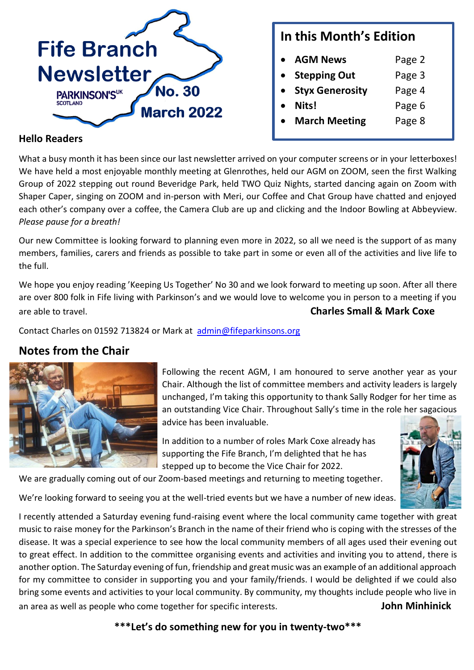

### **In this Month's Edition**

- **AGM News** Page 2
- **Stepping Out** Page 3
- **Styx Generosity** Page 4
	- **Nits!** Page 6
- **March Meeting** Page 8

#### **Hello Readers**

What a busy month it has been since our last newsletter arrived on your computer screens or in your letterboxes! We have held a most enjoyable monthly meeting at Glenrothes, held our AGM on ZOOM, seen the first Walking Group of 2022 stepping out round Beveridge Park, held TWO Quiz Nights, started dancing again on Zoom with Shaper Caper, singing on ZOOM and in-person with Meri, our Coffee and Chat Group have chatted and enjoyed each other's company over a coffee, the Camera Club are up and clicking and the Indoor Bowling at Abbeyview. *Please pause for a breath!*

Our new Committee is looking forward to planning even more in 2022, so all we need is the support of as many members, families, carers and friends as possible to take part in some or even all of the activities and live life to the full.

We hope you enjoy reading 'Keeping Us Together' No 30 and we look forward to meeting up soon. After all there are over 800 folk in Fife living with Parkinson's and we would love to welcome you in person to a meeting if you are able to travel. **Charles Small & Mark Coxe** 

Contact Charles on 01592 713824 or Mark at [admin@fifeparkinsons.org](mailto:admin@fifeparkinsons.org)

### **Notes from the Chair**



Following the recent AGM, I am honoured to serve another year as your Chair. Although the list of committee members and activity leaders is largely unchanged, I'm taking this opportunity to thank Sally Rodger for her time as an outstanding Vice Chair. Throughout Sally's time in the role her sagacious advice has been invaluable.

> In addition to a number of roles Mark Coxe already has supporting the Fife Branch, I'm delighted that he has stepped up to become the Vice Chair for 2022.



We're looking forward to seeing you at the well-tried events but we have a number of new ideas.

We are gradually coming out of our Zoom-based meetings and returning to meeting together.

I recently attended a Saturday evening fund-raising event where the local community came together with great music to raise money for the Parkinson's Branch in the name of their friend who is coping with the stresses of the disease. It was a special experience to see how the local community members of all ages used their evening out to great effect. In addition to the committee organising events and activities and inviting you to attend, there is another option. The Saturday evening of fun, friendship and great music was an example of an additional approach for my committee to consider in supporting you and your family/friends. I would be delighted if we could also bring some events and activities to your local community. By community, my thoughts include people who live in an area as well as people who come together for specific interests. **John Minhinick**

**\*\*\*Let's do something new for you in twenty-two\*\*\***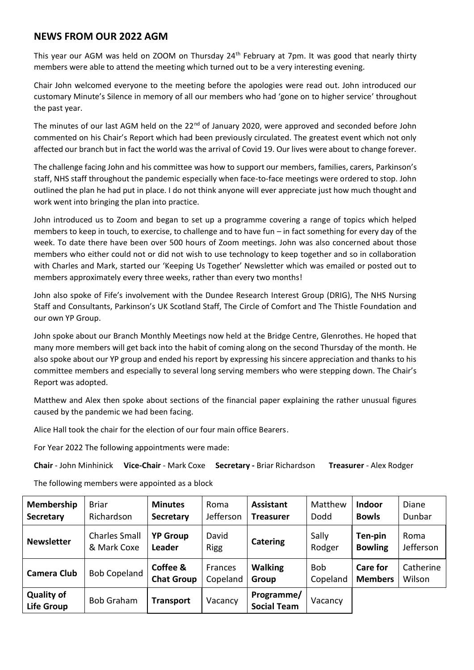#### **NEWS FROM OUR 2022 AGM**

This year our AGM was held on ZOOM on Thursday 24<sup>th</sup> February at 7pm. It was good that nearly thirty members were able to attend the meeting which turned out to be a very interesting evening.

Chair John welcomed everyone to the meeting before the apologies were read out. John introduced our customary Minute's Silence in memory of all our members who had 'gone on to higher service' throughout the past year.

The minutes of our last AGM held on the 22<sup>nd</sup> of January 2020, were approved and seconded before John commented on his Chair's Report which had been previously circulated. The greatest event which not only affected our branch but in fact the world was the arrival of Covid 19. Our lives were about to change forever.

The challenge facing John and his committee was how to support our members, families, carers, Parkinson's staff, NHS staff throughout the pandemic especially when face-to-face meetings were ordered to stop. John outlined the plan he had put in place. I do not think anyone will ever appreciate just how much thought and work went into bringing the plan into practice.

John introduced us to Zoom and began to set up a programme covering a range of topics which helped members to keep in touch, to exercise, to challenge and to have fun – in fact something for every day of the week. To date there have been over 500 hours of Zoom meetings. John was also concerned about those members who either could not or did not wish to use technology to keep together and so in collaboration with Charles and Mark, started our 'Keeping Us Together' Newsletter which was emailed or posted out to members approximately every three weeks, rather than every two months!

John also spoke of Fife's involvement with the Dundee Research Interest Group (DRIG), The NHS Nursing Staff and Consultants, Parkinson's UK Scotland Staff, The Circle of Comfort and The Thistle Foundation and our own YP Group.

John spoke about our Branch Monthly Meetings now held at the Bridge Centre, Glenrothes. He hoped that many more members will get back into the habit of coming along on the second Thursday of the month. He also spoke about our YP group and ended his report by expressing his sincere appreciation and thanks to his committee members and especially to several long serving members who were stepping down. The Chair's Report was adopted.

Matthew and Alex then spoke about sections of the financial paper explaining the rather unusual figures caused by the pandemic we had been facing.

Alice Hall took the chair for the election of our four main office Bearers.

For Year 2022 The following appointments were made:

**Chair** - John Minhinick **Vice-Chair** - Mark Coxe **Secretary -** Briar Richardson **Treasurer** - Alex Rodger

The following members were appointed as a block

| <b>Membership</b><br><b>Secretary</b>  | <b>Briar</b><br>Richardson          | <b>Minutes</b><br><b>Secretary</b> | Roma<br>Jefferson    | <b>Assistant</b><br><b>Treasurer</b> | Matthew<br>Dodd        | <b>Indoor</b><br><b>Bowls</b>     | Diane<br>Dunbar     |
|----------------------------------------|-------------------------------------|------------------------------------|----------------------|--------------------------------------|------------------------|-----------------------------------|---------------------|
| <b>Newsletter</b>                      | <b>Charles Small</b><br>& Mark Coxe | <b>YP Group</b><br>Leader          | David<br><b>Rigg</b> | <b>Catering</b>                      | Sally<br>Rodger        | Ten-pin<br><b>Bowling</b>         | Roma<br>Jefferson   |
| <b>Camera Club</b>                     | <b>Bob Copeland</b>                 | Coffee &<br><b>Chat Group</b>      | Frances<br>Copeland  | <b>Walking</b><br>Group              | <b>Bob</b><br>Copeland | <b>Care for</b><br><b>Members</b> | Catherine<br>Wilson |
| <b>Quality of</b><br><b>Life Group</b> | <b>Bob Graham</b>                   | <b>Transport</b>                   | Vacancy              | Programme/<br><b>Social Team</b>     | Vacancy                |                                   |                     |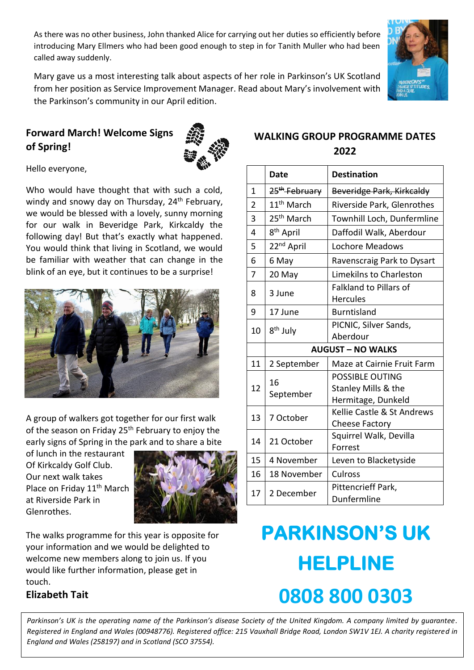As there was no other business, John thanked Alice for carrying out her duties so efficiently before introducing Mary Ellmers who had been good enough to step in for Tanith Muller who had been called away suddenly.

Mary gave us a most interesting talk about aspects of her role in Parkinson's UK Scotland from her position as Service Improvement Manager. Read about Mary's involvement with the Parkinson's community in our April edition.

### **Forward March! Welcome Signs of Spring!**



Hello everyone,

Who would have thought that with such a cold, windy and snowy day on Thursday, 24<sup>th</sup> February, we would be blessed with a lovely, sunny morning for our walk in Beveridge Park, Kirkcaldy the following day! But that's exactly what happened. You would think that living in Scotland, we would be familiar with weather that can change in the blink of an eye, but it continues to be a surprise!



A group of walkers got together for our first walk of the season on Friday 25<sup>th</sup> February to enjoy the early signs of Spring in the park and to share a bite

of lunch in the restaurant Of Kirkcaldy Golf Club. Our next walk takes Place on Friday 11<sup>th</sup> March at Riverside Park in Glenrothes.



The walks programme for this year is opposite for your information and we would be delighted to welcome new members along to join us. If you would like further information, please get in touch.

### **Elizabeth Tait**

#### **WALKING GROUP PROGRAMME DATES 2022**

|                          | <b>Date</b>               | <b>Destination</b>            |  |  |  |
|--------------------------|---------------------------|-------------------------------|--|--|--|
| 1                        | 25 <sup>th</sup> February | Beveridge Park, Kirkcaldy     |  |  |  |
| 2                        | 11 <sup>th</sup> March    | Riverside Park, Glenrothes    |  |  |  |
| 3                        | 25 <sup>th</sup> March    | Townhill Loch, Dunfermline    |  |  |  |
| 4                        | 8 <sup>th</sup> April     | Daffodil Walk, Aberdour       |  |  |  |
| 5                        | 22 <sup>nd</sup> April    | Lochore Meadows               |  |  |  |
| 6                        | 6 May                     | Ravenscraig Park to Dysart    |  |  |  |
| 7                        | 20 May                    | Limekilns to Charleston       |  |  |  |
| 8                        | 3 June                    | <b>Falkland to Pillars of</b> |  |  |  |
|                          |                           | <b>Hercules</b>               |  |  |  |
| 9                        | 17 June                   | <b>Burntisland</b>            |  |  |  |
| 10                       | 8 <sup>th</sup> July      | PICNIC, Silver Sands,         |  |  |  |
|                          |                           | Aberdour                      |  |  |  |
| <b>AUGUST - NO WALKS</b> |                           |                               |  |  |  |
| 11                       | 2 September               | Maze at Cairnie Fruit Farm    |  |  |  |
| 12                       | 16                        | <b>POSSIBLE OUTING</b>        |  |  |  |
|                          | September                 | Stanley Mills & the           |  |  |  |
|                          |                           | Hermitage, Dunkeld            |  |  |  |
| 13                       | 7 October                 | Kellie Castle & St Andrews    |  |  |  |
|                          |                           | <b>Cheese Factory</b>         |  |  |  |
| 14                       | 21 October                | Squirrel Walk, Devilla        |  |  |  |
|                          |                           | Forrest                       |  |  |  |
| 15                       | 4 November                | Leven to Blacketyside         |  |  |  |
| 16                       | 18 November               | Culross                       |  |  |  |
| 17                       | 2 December                | Pittencrieff Park,            |  |  |  |
|                          |                           | Dunfermline                   |  |  |  |

# **PARKINSON'S UK HELPLINE 0808 800 0303**

*Parkinson's UK is the operating name of the Parkinson's disease Society of the United Kingdom. A company limited by guarantee. Registered in England and Wales (00948776). Registered office: 215 Vauxhall Bridge Road, London SW1V 1EJ. A charity registered in England and Wales (258197) and in Scotland (SCO 37554).*

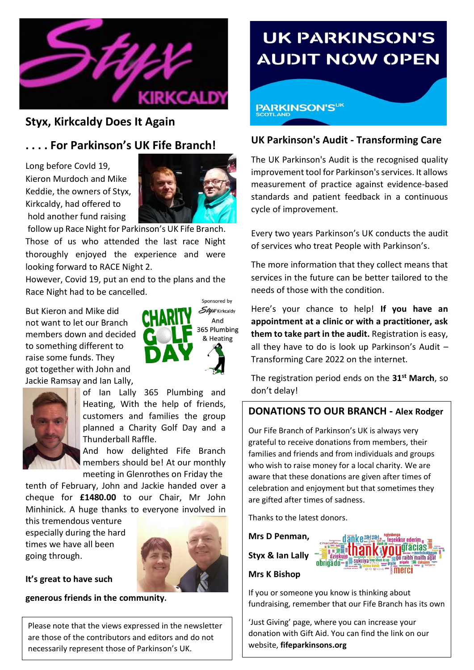

### **Styx, Kirkcaldy Does It Again**

### **. . . . For Parkinson's UK Fife Branch!**

Long before CovId 19, Kieron Murdoch and Mike Keddie, the owners of Styx, Kirkcaldy, had offered to hold another fund raising



follow up Race Night for Parkinson's UK Fife Branch. Those of us who attended the last race Night thoroughly enjoyed the experience and were looking forward to RACE Night 2.

However, Covid 19, put an end to the plans and the Race Night had to be cancelled.

But Kieron and Mike did not want to let our Branch members down and decided to something different to raise some funds. They got together with John and Jackie Ramsay and Ian Lally,





of Ian Lally 365 Plumbing and Heating, With the help of friends, customers and families the group planned a Charity Golf Day and a Thunderball Raffle.

And how delighted Fife Branch members should be! At our monthly meeting in Glenrothes on Friday the

tenth of February, John and Jackie handed over a cheque for **£1480.00** to our Chair, Mr John Minhinick. A huge thanks to everyone involved in

this tremendous venture especially during the hard times we have all been going through.



**It's great to have such** 

**generous friends in the community.**

Please note that the views expressed in the newsletter are those of the contributors and editors and do not necessarily represent those of Parkinson's UK.

## **UK PARKINSON'S AUDIT NOW OPEN**

### **PARKINSON'SUK**

#### **UK Parkinson's Audit - Transforming Care**

The UK Parkinson's Audit is the recognised quality improvement tool for Parkinson's services. It allows measurement of practice against evidence-based standards and patient feedback in a continuous cycle of improvement.

Every two years Parkinson's UK conducts the audit of services who treat People with Parkinson's.

The more information that they collect means that services in the future can be better tailored to the needs of those with the condition.

Here's your chance to help! **If you have an appointment at a clinic or with a practitioner, ask them to take part in the audit.** Registration is easy, all they have to do is look up Parkinson's Audit  $-$ Transforming Care 2022 on the internet.

The registration period ends on the **31st March**, so don't delay!

#### **DONATIONS TO OUR BRANCH - Alex Rodger**

Our Fife Branch of Parkinson's UK is always very grateful to receive donations from members, their families and friends and from individuals and groups who wish to raise money for a local charity. We are aware that these donations are given after times of celebration and enjoyment but that sometimes they are gifted after times of sadness.

Thanks to the latest donors.

**Mrs D Penman, Styx & Ian Lally**

### **Mrs K Bishop**

If you or someone you know is thinking about fundraising, remember that our Fife Branch has its own

obrigado<sup>.</sup>

peokkiir odorin diacias raibh maith anat

'Just Giving' page, where you can increase your donation with Gift Aid. You can find the link on our website, **fifeparkinsons.org**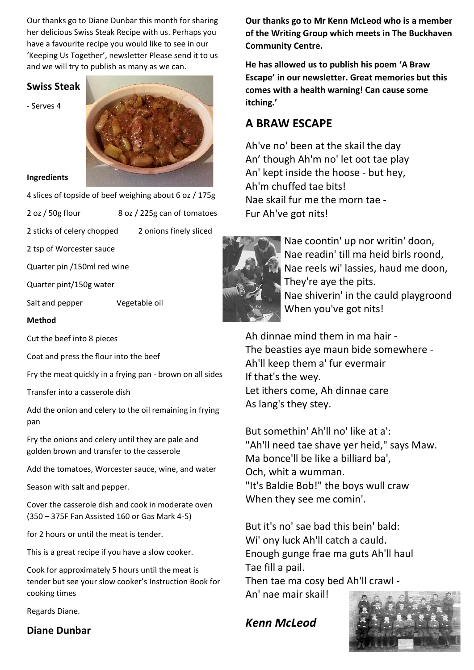Our thanks go to Diane Dunbar this month for sharing her delicious Swiss Steak Recipe with us. Perhaps you have a favourite recipe you would like to see in our 'Keeping Us Together', newsletter Please send it to us and we will try to publish as many as we can.

#### **Swiss Steak**

- Serves 4



#### **Ingredients**

4 slices of topside of beef weighing about 6 oz / 175g

2 oz / 50g flour 8 oz / 225g can of tomatoes

2 sticks of celery chopped 2 onions finely sliced

2 tsp of Worcester sauce

Quarter pin /150ml red wine

Quarter pint/150g water

Salt and pepper Vegetable oil

#### **Method**

Cut the beef into 8 pieces

Coat and press the flour into the beef

Fry the meat quickly in a frying pan - brown on all sides

Transfer into a casserole dish

Add the onion and celery to the oil remaining in frying pan

Fry the onions and celery until they are pale and golden brown and transfer to the casserole

Add the tomatoes, Worcester sauce, wine, and water

Season with salt and pepper.

Cover the casserole dish and cook in moderate oven (350 – 375F Fan Assisted 160 or Gas Mark 4-5)

for 2 hours or until the meat is tender.

This is a great recipe if you have a slow cooker.

Cook for approximately 5 hours until the meat is tender but see your slow cooker's Instruction Book for cooking times

Regards Diane.

#### **Diane Dunbar**

**Our thanks go to Mr Kenn McLeod who is a member of the Writing Group which meets in The Buckhaven Community Centre.** 

**He has allowed us to publish his poem 'A Braw Escape' in our newsletter. Great memories but this comes with a health warning! Can cause some itching.'**

### **A BRAW ESCAPE**

Ah've no' been at the skail the day An' though Ah'm no' let oot tae play An' kept inside the hoose - but hey, Ah'm chuffed tae bits! Nae skail fur me the morn tae - Fur Ah've got nits!



 Nae coontin' up nor writin' doon, Nae readin' till ma heid birls roond, Nae reels wi' lassies, haud me doon, They're aye the pits. Nae shiverin' in the cauld playgroond When you've got nits!

Ah dinnae mind them in ma hair - The beasties aye maun bide somewhere - Ah'll keep them a' fur evermair If that's the wey. Let ithers come, Ah dinnae care As lang's they stey.

But somethin' Ah'll no' like at a': "Ah'll need tae shave yer heid," says Maw. Ma bonce'll be like a billiard ba', Och, whit a wumman. "It's Baldie Bob!" the boys wull craw When they see me comin'.

But it's no' sae bad this bein' bald: Wi' ony luck Ah'll catch a cauld. Enough gunge frae ma guts Ah'll haul Tae fill a pail.

Then tae ma cosy bed Ah'll crawl - An' nae mair skail!

### *Kenn McLeod*

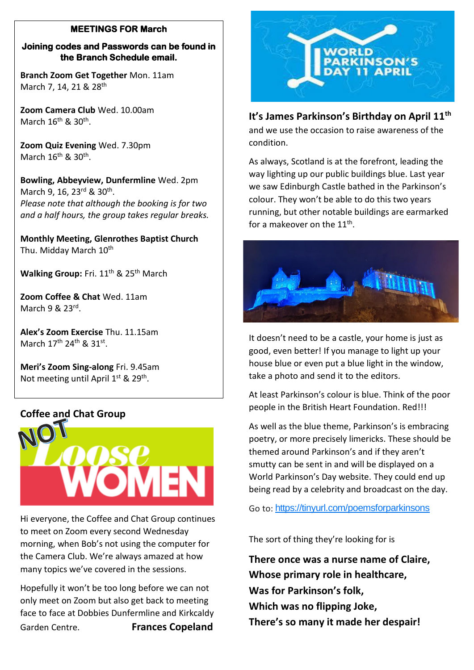#### **MEETINGS FOR March**

#### **Joining codes and Passwords can be found in the Branch Schedule email.**

**Branch Zoom Get Together** Mon. 11am March 7, 14, 21 & 28<sup>th</sup>

**Zoom Camera Club** Wed. 10.00am March 16<sup>th</sup> & 30<sup>th</sup>.

**Zoom Quiz Evening** Wed. 7.30pm March 16<sup>th</sup> & 30<sup>th</sup>.

**Bowling, Abbeyview, Dunfermline** Wed. 2pm March 9, 16, 23<sup>rd</sup> & 30<sup>th</sup>. *Please note that although the booking is for two and a half hours, the group takes regular breaks.*

**Monthly Meeting, Glenrothes Baptist Church** Thu. Midday March 10<sup>th</sup>

Walking Group: Fri. 11<sup>th</sup> & 25<sup>th</sup> March

**Zoom Coffee & Chat** Wed. 11am March 9 & 23<sup>rd</sup>.

**Alex's Zoom Exercise** Thu. 11.15am March 17<sup>th</sup> 24<sup>th</sup> & 31<sup>st</sup>.

**Meri's Zoom Sing-along** Fri. 9.45am Not meeting until April 1<sup>st</sup> & 29<sup>th</sup>.

#### **Coffee and Chat Group**



Hi everyone, the Coffee and Chat Group continues to meet on Zoom every second Wednesday morning, when Bob's not using the computer for the Camera Club. We're always amazed at how many topics we've covered in the sessions.

Hopefully it won't be too long before we can not only meet on Zoom but also get back to meeting face to face at Dobbies Dunfermline and Kirkcaldy Garden Centre. **Frances Copeland**



#### **It's James Parkinson's Birthday on April 11th**

and we use the occasion to raise awareness of the condition.

As always, Scotland is at the forefront, leading the way lighting up our public buildings blue. Last year we saw Edinburgh Castle bathed in the Parkinson's colour. They won't be able to do this two years running, but other notable buildings are earmarked for a makeover on the  $11^{\text{th}}$ .



It doesn't need to be a castle, your home is just as good, even better! If you manage to light up your house blue or even put a blue light in the window, take a photo and send it to the editors.

At least Parkinson's colour is blue. Think of the poor people in the British Heart Foundation. Red!!!

As well as the blue theme, Parkinson's is embracing poetry, or more precisely limericks. These should be themed around Parkinson's and if they aren't smutty can be sent in and will be displayed on a World Parkinson's Day website. They could end up being read by a celebrity and broadcast on the day.

Go to: <https://tinyurl.com/poemsforparkinsons>

The sort of thing they're looking for is

**There once was a nurse name of Claire, Whose primary role in healthcare, Was for Parkinson's folk, Which was no flipping Joke, There's so many it made her despair!**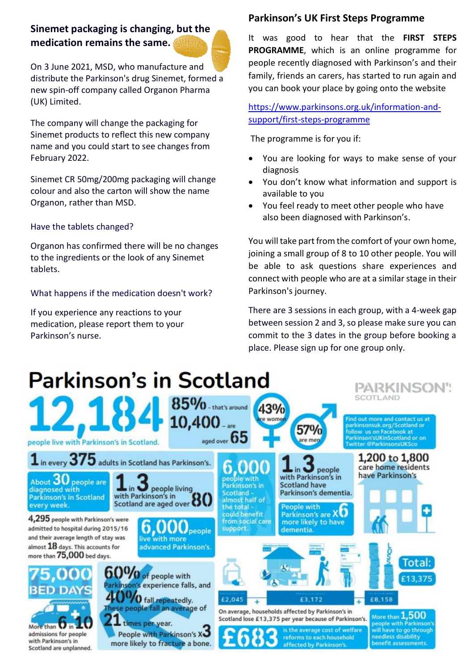### **Sinemet packaging is changing, but the medication remains the same.**

On 3 June 2021, MSD, who manufacture and distribute the Parkinson's drug Sinemet, formed a new spin-off company called Organon Pharma (UK) Limited.

The company will change the packaging for Sinemet products to reflect this new company name and you could start to see changes from February 2022.

Sinemet CR 50mg/200mg packaging will change colour and also the carton will show the name Organon, rather than MSD.

#### Have the tablets changed?

Organon has confirmed there will be no changes to the ingredients or the look of any Sinemet tablets.

#### What happens if the medication doesn't work?

If you experience any reactions to your medication, please report them to your Parkinson's nurse.

#### **Parkinson's UK First Steps Programme**

It was good to hear that the **FIRST STEPS PROGRAMME**, which is an online programme for people recently diagnosed with Parkinson's and their family, friends an carers, has started to run again and you can book your place by going onto the website

[https://www.parkinsons.org.uk/information-and](https://www.parkinsons.org.uk/information-and-support/first-steps-programme)[support/first-steps-programme](https://www.parkinsons.org.uk/information-and-support/first-steps-programme)

The programme is for you if:

- You are looking for ways to make sense of your diagnosis
- You don't know what information and support is available to you
- You feel ready to meet other people who have also been diagnosed with Parkinson's.

You will take part from the comfort of your own home, joining a small group of 8 to 10 other people. You will be able to ask questions share experiences and connect with people who are at a similar stage in their Parkinson's journey.

There are 3 sessions in each group, with a 4-week gap between session 2 and 3, so please make sure you can commit to the 3 dates in the group before booking a place. Please sign up for one group only.